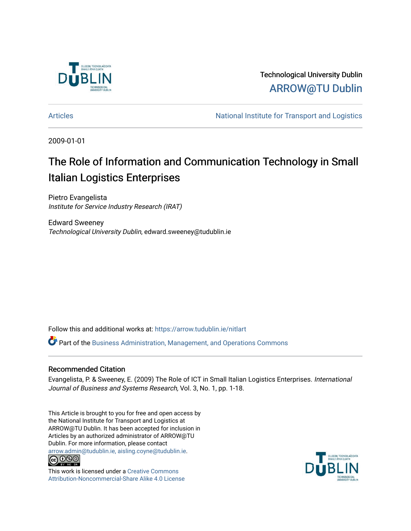

Technological University Dublin [ARROW@TU Dublin](https://arrow.tudublin.ie/) 

[Articles](https://arrow.tudublin.ie/nitlart) **Articles** Articles Articles Articles Articles Articles Articles Articles Articles Articles Articles Articles Articles Articles Articles Articles Articles Articles Articles Articles Articles Articles Articles Arti

2009-01-01

# The Role of Information and Communication Technology in Small Italian Logistics Enterprises

Pietro Evangelista Institute for Service Industry Research (IRAT)

Edward Sweeney Technological University Dublin, edward.sweeney@tudublin.ie

Follow this and additional works at: [https://arrow.tudublin.ie/nitlart](https://arrow.tudublin.ie/nitlart?utm_source=arrow.tudublin.ie%2Fnitlart%2F2&utm_medium=PDF&utm_campaign=PDFCoverPages) 

Part of the [Business Administration, Management, and Operations Commons](http://network.bepress.com/hgg/discipline/623?utm_source=arrow.tudublin.ie%2Fnitlart%2F2&utm_medium=PDF&utm_campaign=PDFCoverPages)

# Recommended Citation

Evangelista, P. & Sweeney, E. (2009) The Role of ICT in Small Italian Logistics Enterprises. International Journal of Business and Systems Research, Vol. 3, No. 1, pp. 1-18.

This Article is brought to you for free and open access by the National Institute for Transport and Logistics at ARROW@TU Dublin. It has been accepted for inclusion in Articles by an authorized administrator of ARROW@TU Dublin. For more information, please contact [arrow.admin@tudublin.ie, aisling.coyne@tudublin.ie](mailto:arrow.admin@tudublin.ie,%20aisling.coyne@tudublin.ie).<br>
co 000



This work is licensed under a [Creative Commons](http://creativecommons.org/licenses/by-nc-sa/4.0/) [Attribution-Noncommercial-Share Alike 4.0 License](http://creativecommons.org/licenses/by-nc-sa/4.0/)

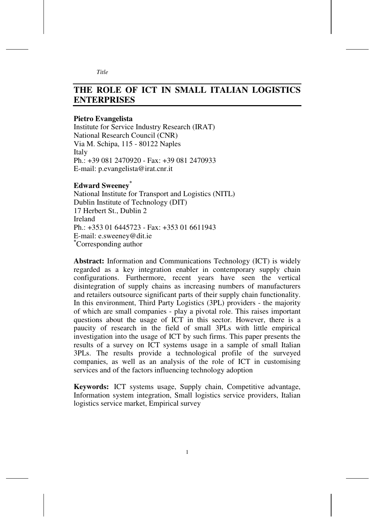# **THE ROLE OF ICT IN SMALL ITALIAN LOGISTICS ENTERPRISES**

#### **Pietro Evangelista**

Institute for Service Industry Research (IRAT) National Research Council (CNR) Via M. Schipa, 115 - 80122 Naples **Italy** Ph.: +39 081 2470920 - Fax: +39 081 2470933 E-mail: p.evangelista@irat.cnr.it

#### **Edward Sweeney\***

National Institute for Transport and Logistics (NITL) Dublin Institute of Technology (DIT) 17 Herbert St., Dublin 2 Ireland Ph.: +353 01 6445723 - Fax: +353 01 6611943 E-mail: e.sweeney@dit.ie **\***Corresponding author

**Abstract:** Information and Communications Technology (ICT) is widely regarded as a key integration enabler in contemporary supply chain configurations. Furthermore, recent years have seen the vertical disintegration of supply chains as increasing numbers of manufacturers and retailers outsource significant parts of their supply chain functionality. In this environment, Third Party Logistics (3PL) providers - the majority of which are small companies - play a pivotal role. This raises important questions about the usage of ICT in this sector. However, there is a paucity of research in the field of small 3PLs with little empirical investigation into the usage of ICT by such firms. This paper presents the results of a survey on ICT systems usage in a sample of small Italian 3PLs. The results provide a technological profile of the surveyed companies, as well as an analysis of the role of ICT in customising services and of the factors influencing technology adoption

**Keywords:** ICT systems usage, Supply chain, Competitive advantage, Information system integration, Small logistics service providers, Italian logistics service market, Empirical survey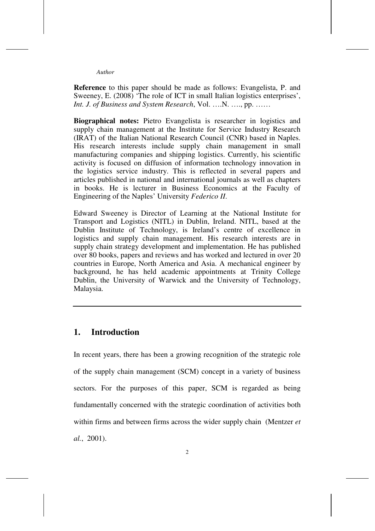**Reference** to this paper should be made as follows: Evangelista, P. and Sweeney, E. (2008) 'The role of ICT in small Italian logistics enterprises', *Int. J. of Business and System Research*, Vol. ….N. …., pp. ……

**Biographical notes:** Pietro Evangelista is researcher in logistics and supply chain management at the Institute for Service Industry Research (IRAT) of the Italian National Research Council (CNR) based in Naples. His research interests include supply chain management in small manufacturing companies and shipping logistics. Currently, his scientific activity is focused on diffusion of information technology innovation in the logistics service industry. This is reflected in several papers and articles published in national and international journals as well as chapters in books. He is lecturer in Business Economics at the Faculty of Engineering of the Naples' University *Federico II*.

Edward Sweeney is Director of Learning at the National Institute for Transport and Logistics (NITL) in Dublin, Ireland. NITL, based at the Dublin Institute of Technology, is Ireland's centre of excellence in logistics and supply chain management. His research interests are in supply chain strategy development and implementation. He has published over 80 books, papers and reviews and has worked and lectured in over 20 countries in Europe, North America and Asia. A mechanical engineer by background, he has held academic appointments at Trinity College Dublin, the University of Warwick and the University of Technology, Malaysia.

## **1. Introduction**

In recent years, there has been a growing recognition of the strategic role of the supply chain management (SCM) concept in a variety of business sectors. For the purposes of this paper, SCM is regarded as being fundamentally concerned with the strategic coordination of activities both within firms and between firms across the wider supply chain (Mentzer *et al.*, 2001).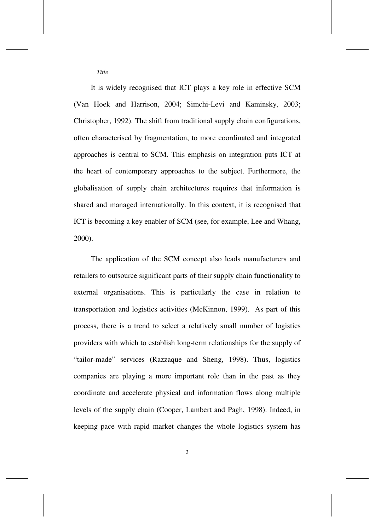*Title* 

It is widely recognised that ICT plays a key role in effective SCM (Van Hoek and Harrison, 2004; Simchi-Levi and Kaminsky, 2003; Christopher, 1992). The shift from traditional supply chain configurations, often characterised by fragmentation, to more coordinated and integrated approaches is central to SCM. This emphasis on integration puts ICT at the heart of contemporary approaches to the subject. Furthermore, the globalisation of supply chain architectures requires that information is shared and managed internationally. In this context, it is recognised that ICT is becoming a key enabler of SCM (see, for example, Lee and Whang, 2000).

The application of the SCM concept also leads manufacturers and retailers to outsource significant parts of their supply chain functionality to external organisations. This is particularly the case in relation to transportation and logistics activities (McKinnon, 1999). As part of this process, there is a trend to select a relatively small number of logistics providers with which to establish long-term relationships for the supply of "tailor-made" services (Razzaque and Sheng, 1998). Thus, logistics companies are playing a more important role than in the past as they coordinate and accelerate physical and information flows along multiple levels of the supply chain (Cooper, Lambert and Pagh, 1998). Indeed, in keeping pace with rapid market changes the whole logistics system has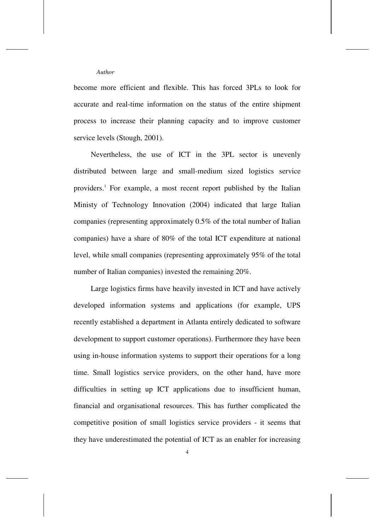become more efficient and flexible. This has forced 3PLs to look for accurate and real-time information on the status of the entire shipment process to increase their planning capacity and to improve customer service levels (Stough, 2001).

Nevertheless, the use of ICT in the 3PL sector is unevenly distributed between large and small-medium sized logistics service providers.<sup>1</sup> For example, a most recent report published by the Italian Ministy of Technology Innovation (2004) indicated that large Italian companies (representing approximately 0.5% of the total number of Italian companies) have a share of 80% of the total ICT expenditure at national level, while small companies (representing approximately 95% of the total number of Italian companies) invested the remaining 20%.

Large logistics firms have heavily invested in ICT and have actively developed information systems and applications (for example, UPS recently established a department in Atlanta entirely dedicated to software development to support customer operations). Furthermore they have been using in-house information systems to support their operations for a long time. Small logistics service providers, on the other hand, have more difficulties in setting up ICT applications due to insufficient human, financial and organisational resources. This has further complicated the competitive position of small logistics service providers - it seems that they have underestimated the potential of ICT as an enabler for increasing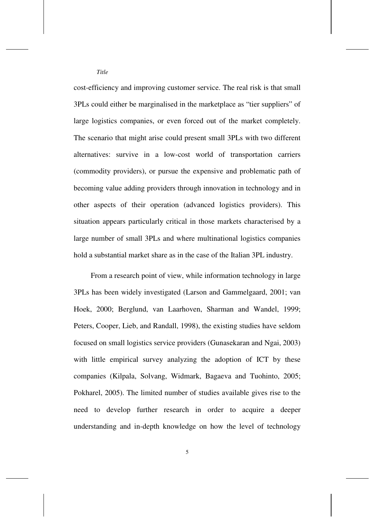cost-efficiency and improving customer service. The real risk is that small 3PLs could either be marginalised in the marketplace as "tier suppliers" of large logistics companies, or even forced out of the market completely. The scenario that might arise could present small 3PLs with two different alternatives: survive in a low-cost world of transportation carriers (commodity providers), or pursue the expensive and problematic path of becoming value adding providers through innovation in technology and in other aspects of their operation (advanced logistics providers). This situation appears particularly critical in those markets characterised by a large number of small 3PLs and where multinational logistics companies hold a substantial market share as in the case of the Italian 3PL industry.

From a research point of view, while information technology in large 3PLs has been widely investigated (Larson and Gammelgaard, 2001; van Hoek, 2000; Berglund, van Laarhoven, Sharman and Wandel, 1999; Peters, Cooper, Lieb, and Randall, 1998), the existing studies have seldom focused on small logistics service providers (Gunasekaran and Ngai, 2003) with little empirical survey analyzing the adoption of ICT by these companies (Kilpala, Solvang, Widmark, Bagaeva and Tuohinto, 2005; Pokharel, 2005). The limited number of studies available gives rise to the need to develop further research in order to acquire a deeper understanding and in-depth knowledge on how the level of technology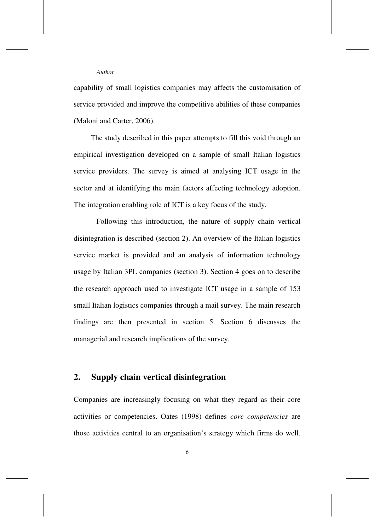capability of small logistics companies may affects the customisation of service provided and improve the competitive abilities of these companies (Maloni and Carter, 2006).

The study described in this paper attempts to fill this void through an empirical investigation developed on a sample of small Italian logistics service providers. The survey is aimed at analysing ICT usage in the sector and at identifying the main factors affecting technology adoption. The integration enabling role of ICT is a key focus of the study.

Following this introduction, the nature of supply chain vertical disintegration is described (section 2). An overview of the Italian logistics service market is provided and an analysis of information technology usage by Italian 3PL companies (section 3). Section 4 goes on to describe the research approach used to investigate ICT usage in a sample of 153 small Italian logistics companies through a mail survey. The main research findings are then presented in section 5. Section 6 discusses the managerial and research implications of the survey.

# **2. Supply chain vertical disintegration**

Companies are increasingly focusing on what they regard as their core activities or competencies. Oates (1998) defines *core competencies* are those activities central to an organisation's strategy which firms do well.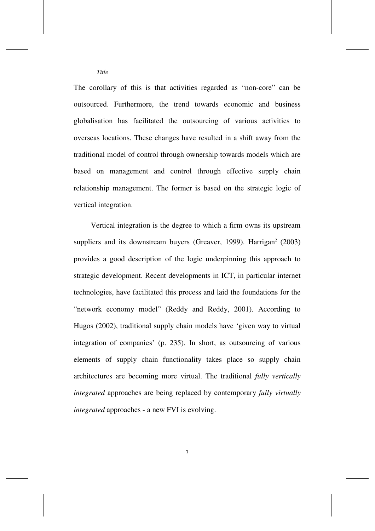The corollary of this is that activities regarded as "non-core" can be outsourced. Furthermore, the trend towards economic and business globalisation has facilitated the outsourcing of various activities to overseas locations. These changes have resulted in a shift away from the traditional model of control through ownership towards models which are based on management and control through effective supply chain relationship management. The former is based on the strategic logic of vertical integration.

*Title* 

Vertical integration is the degree to which a firm owns its upstream suppliers and its downstream buyers (Greaver, 1999). Harrigan<sup>2</sup> (2003) provides a good description of the logic underpinning this approach to strategic development. Recent developments in ICT, in particular internet technologies, have facilitated this process and laid the foundations for the "network economy model" (Reddy and Reddy, 2001). According to Hugos (2002), traditional supply chain models have 'given way to virtual integration of companies' (p. 235). In short, as outsourcing of various elements of supply chain functionality takes place so supply chain architectures are becoming more virtual. The traditional *fully vertically integrated* approaches are being replaced by contemporary *fully virtually integrated* approaches - a new FVI is evolving.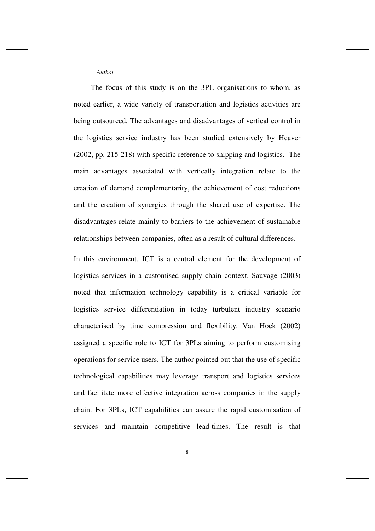The focus of this study is on the 3PL organisations to whom, as noted earlier, a wide variety of transportation and logistics activities are being outsourced. The advantages and disadvantages of vertical control in the logistics service industry has been studied extensively by Heaver (2002, pp. 215-218) with specific reference to shipping and logistics. The main advantages associated with vertically integration relate to the creation of demand complementarity, the achievement of cost reductions and the creation of synergies through the shared use of expertise. The disadvantages relate mainly to barriers to the achievement of sustainable relationships between companies, often as a result of cultural differences.

In this environment, ICT is a central element for the development of logistics services in a customised supply chain context. Sauvage (2003) noted that information technology capability is a critical variable for logistics service differentiation in today turbulent industry scenario characterised by time compression and flexibility. Van Hoek (2002) assigned a specific role to ICT for 3PLs aiming to perform customising operations for service users. The author pointed out that the use of specific technological capabilities may leverage transport and logistics services and facilitate more effective integration across companies in the supply chain. For 3PLs, ICT capabilities can assure the rapid customisation of services and maintain competitive lead-times. The result is that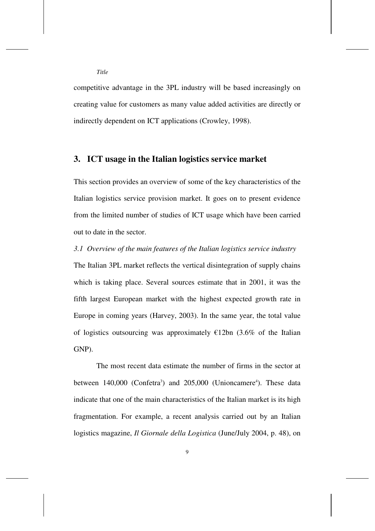competitive advantage in the 3PL industry will be based increasingly on creating value for customers as many value added activities are directly or indirectly dependent on ICT applications (Crowley, 1998).

# **3. ICT usage in the Italian logistics service market**

This section provides an overview of some of the key characteristics of the Italian logistics service provision market. It goes on to present evidence from the limited number of studies of ICT usage which have been carried out to date in the sector.

#### *3.1 Overview of the main features of the Italian logistics service industry*

The Italian 3PL market reflects the vertical disintegration of supply chains which is taking place. Several sources estimate that in 2001, it was the fifth largest European market with the highest expected growth rate in Europe in coming years (Harvey, 2003). In the same year, the total value of logistics outsourcing was approximately  $\epsilon$ 12bn (3.6% of the Italian GNP).

The most recent data estimate the number of firms in the sector at between  $140,000$  (Confetra<sup>3</sup>) and  $205,000$  (Unioncamere<sup>4</sup>). These data indicate that one of the main characteristics of the Italian market is its high fragmentation. For example, a recent analysis carried out by an Italian logistics magazine, *Il Giornale della Logistica* (June/July 2004, p. 48), on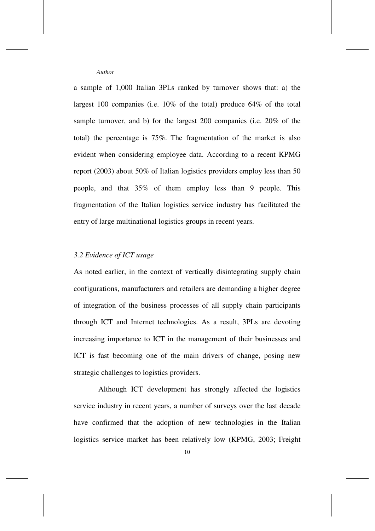a sample of 1,000 Italian 3PLs ranked by turnover shows that: a) the largest 100 companies (i.e. 10% of the total) produce 64% of the total sample turnover, and b) for the largest 200 companies (i.e. 20% of the total) the percentage is 75%. The fragmentation of the market is also evident when considering employee data. According to a recent KPMG report (2003) about 50% of Italian logistics providers employ less than 50 people, and that 35% of them employ less than 9 people. This fragmentation of the Italian logistics service industry has facilitated the entry of large multinational logistics groups in recent years.

## *3.2 Evidence of ICT usage*

As noted earlier, in the context of vertically disintegrating supply chain configurations, manufacturers and retailers are demanding a higher degree of integration of the business processes of all supply chain participants through ICT and Internet technologies. As a result, 3PLs are devoting increasing importance to ICT in the management of their businesses and ICT is fast becoming one of the main drivers of change, posing new strategic challenges to logistics providers.

 Although ICT development has strongly affected the logistics service industry in recent years, a number of surveys over the last decade have confirmed that the adoption of new technologies in the Italian logistics service market has been relatively low (KPMG, 2003; Freight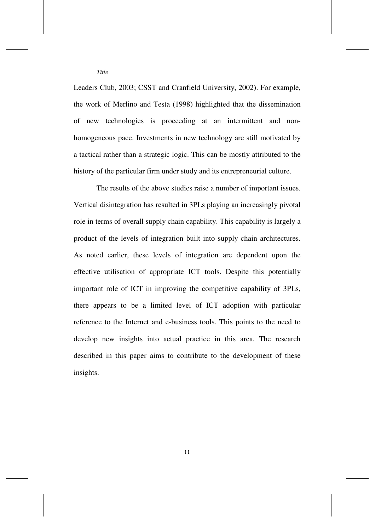Leaders Club, 2003; CSST and Cranfield University, 2002). For example, the work of Merlino and Testa (1998) highlighted that the dissemination of new technologies is proceeding at an intermittent and nonhomogeneous pace. Investments in new technology are still motivated by a tactical rather than a strategic logic. This can be mostly attributed to the history of the particular firm under study and its entrepreneurial culture.

The results of the above studies raise a number of important issues. Vertical disintegration has resulted in 3PLs playing an increasingly pivotal role in terms of overall supply chain capability. This capability is largely a product of the levels of integration built into supply chain architectures. As noted earlier, these levels of integration are dependent upon the effective utilisation of appropriate ICT tools. Despite this potentially important role of ICT in improving the competitive capability of 3PLs, there appears to be a limited level of ICT adoption with particular reference to the Internet and e-business tools. This points to the need to develop new insights into actual practice in this area. The research described in this paper aims to contribute to the development of these insights.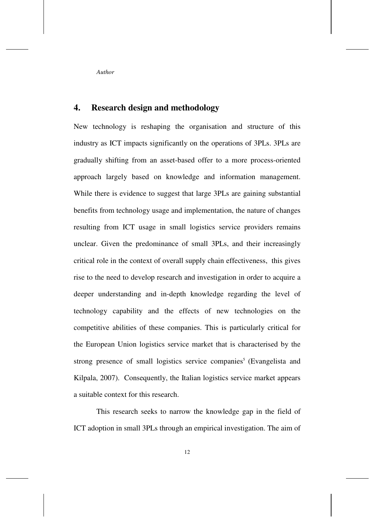# **4. Research design and methodology**

New technology is reshaping the organisation and structure of this industry as ICT impacts significantly on the operations of 3PLs. 3PLs are gradually shifting from an asset-based offer to a more process-oriented approach largely based on knowledge and information management. While there is evidence to suggest that large 3PLs are gaining substantial benefits from technology usage and implementation, the nature of changes resulting from ICT usage in small logistics service providers remains unclear. Given the predominance of small 3PLs, and their increasingly critical role in the context of overall supply chain effectiveness, this gives rise to the need to develop research and investigation in order to acquire a deeper understanding and in-depth knowledge regarding the level of technology capability and the effects of new technologies on the competitive abilities of these companies. This is particularly critical for the European Union logistics service market that is characterised by the strong presence of small logistics service companies<sup>5</sup> (Evangelista and Kilpala, 2007). Consequently, the Italian logistics service market appears a suitable context for this research.

This research seeks to narrow the knowledge gap in the field of ICT adoption in small 3PLs through an empirical investigation. The aim of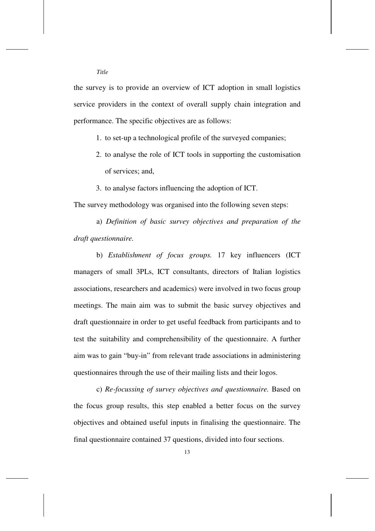the survey is to provide an overview of ICT adoption in small logistics service providers in the context of overall supply chain integration and performance. The specific objectives are as follows:

1. to set-up a technological profile of the surveyed companies;

- 2. to analyse the role of ICT tools in supporting the customisation of services; and,
- 3. to analyse factors influencing the adoption of ICT.

The survey methodology was organised into the following seven steps:

a) *Definition of basic survey objectives and preparation of the draft questionnaire.*

b) *Establishment of focus groups.* 17 key influencers (ICT managers of small 3PLs, ICT consultants, directors of Italian logistics associations, researchers and academics) were involved in two focus group meetings. The main aim was to submit the basic survey objectives and draft questionnaire in order to get useful feedback from participants and to test the suitability and comprehensibility of the questionnaire. A further aim was to gain "buy-in" from relevant trade associations in administering questionnaires through the use of their mailing lists and their logos.

c) *Re-focussing of survey objectives and questionnaire.* Based on the focus group results, this step enabled a better focus on the survey objectives and obtained useful inputs in finalising the questionnaire. The final questionnaire contained 37 questions, divided into four sections.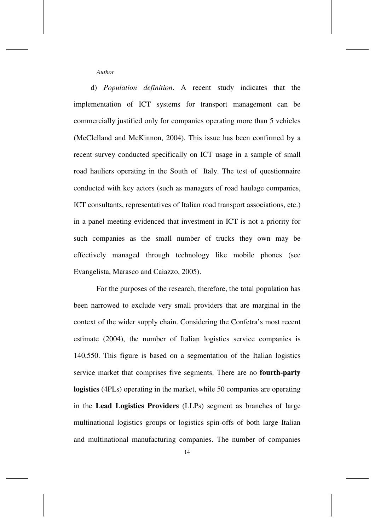d) *Population definition*. A recent study indicates that the implementation of ICT systems for transport management can be commercially justified only for companies operating more than 5 vehicles (McClelland and McKinnon, 2004). This issue has been confirmed by a recent survey conducted specifically on ICT usage in a sample of small road hauliers operating in the South of Italy. The test of questionnaire conducted with key actors (such as managers of road haulage companies, ICT consultants, representatives of Italian road transport associations, etc.) in a panel meeting evidenced that investment in ICT is not a priority for such companies as the small number of trucks they own may be effectively managed through technology like mobile phones (see Evangelista, Marasco and Caiazzo, 2005).

For the purposes of the research, therefore, the total population has been narrowed to exclude very small providers that are marginal in the context of the wider supply chain. Considering the Confetra's most recent estimate (2004), the number of Italian logistics service companies is 140,550. This figure is based on a segmentation of the Italian logistics service market that comprises five segments. There are no **fourth-party logistics** (4PLs) operating in the market, while 50 companies are operating in the **Lead Logistics Providers** (LLPs) segment as branches of large multinational logistics groups or logistics spin-offs of both large Italian and multinational manufacturing companies. The number of companies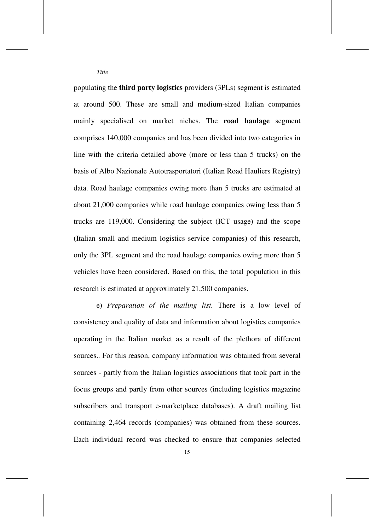populating the **third party logistics** providers (3PLs) segment is estimated at around 500. These are small and medium-sized Italian companies mainly specialised on market niches. The **road haulage** segment comprises 140,000 companies and has been divided into two categories in line with the criteria detailed above (more or less than 5 trucks) on the basis of Albo Nazionale Autotrasportatori (Italian Road Hauliers Registry) data. Road haulage companies owing more than 5 trucks are estimated at about 21,000 companies while road haulage companies owing less than 5 trucks are 119,000. Considering the subject (ICT usage) and the scope (Italian small and medium logistics service companies) of this research, only the 3PL segment and the road haulage companies owing more than 5 vehicles have been considered. Based on this, the total population in this research is estimated at approximately 21,500 companies.

e) *Preparation of the mailing list.* There is a low level of consistency and quality of data and information about logistics companies operating in the Italian market as a result of the plethora of different sources.. For this reason, company information was obtained from several sources - partly from the Italian logistics associations that took part in the focus groups and partly from other sources (including logistics magazine subscribers and transport e-marketplace databases). A draft mailing list containing 2,464 records (companies) was obtained from these sources. Each individual record was checked to ensure that companies selected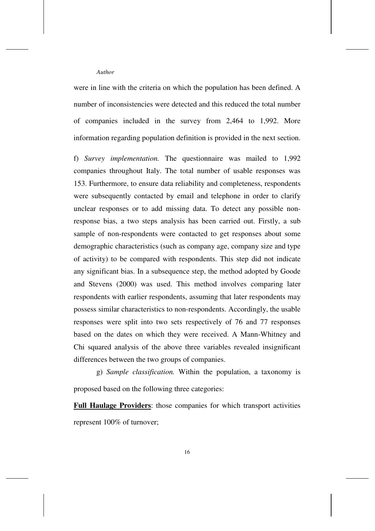were in line with the criteria on which the population has been defined. A number of inconsistencies were detected and this reduced the total number of companies included in the survey from 2,464 to 1,992. More information regarding population definition is provided in the next section.

f) *Survey implementation.* The questionnaire was mailed to 1,992 companies throughout Italy. The total number of usable responses was 153. Furthermore, to ensure data reliability and completeness, respondents were subsequently contacted by email and telephone in order to clarify unclear responses or to add missing data. To detect any possible nonresponse bias, a two steps analysis has been carried out. Firstly, a sub sample of non-respondents were contacted to get responses about some demographic characteristics (such as company age, company size and type of activity) to be compared with respondents. This step did not indicate any significant bias. In a subsequence step, the method adopted by Goode and Stevens (2000) was used. This method involves comparing later respondents with earlier respondents, assuming that later respondents may possess similar characteristics to non-respondents. Accordingly, the usable responses were split into two sets respectively of 76 and 77 responses based on the dates on which they were received. A Mann-Whitney and Chi squared analysis of the above three variables revealed insignificant differences between the two groups of companies.

g) *Sample classification.* Within the population, a taxonomy is proposed based on the following three categories:

**Full Haulage Providers**: those companies for which transport activities represent 100% of turnover;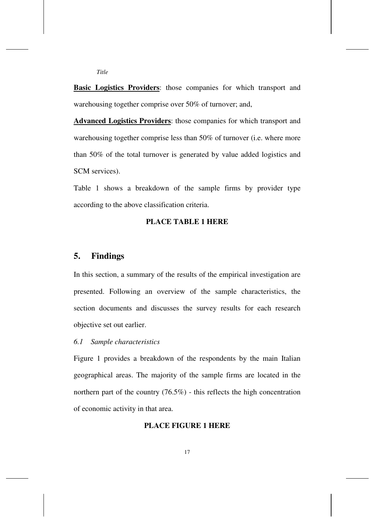**Basic Logistics Providers:** those companies for which transport and warehousing together comprise over 50% of turnover; and,

**Advanced Logistics Providers**: those companies for which transport and warehousing together comprise less than 50% of turnover (i.e. where more than 50% of the total turnover is generated by value added logistics and SCM services).

Table 1 shows a breakdown of the sample firms by provider type according to the above classification criteria.

#### **PLACE TABLE 1 HERE**

# **5. Findings**

*Title* 

In this section, a summary of the results of the empirical investigation are presented. Following an overview of the sample characteristics, the section documents and discusses the survey results for each research objective set out earlier.

#### *6.1 Sample characteristics*

Figure 1 provides a breakdown of the respondents by the main Italian geographical areas. The majority of the sample firms are located in the northern part of the country (76.5%) - this reflects the high concentration of economic activity in that area.

# **PLACE FIGURE 1 HERE**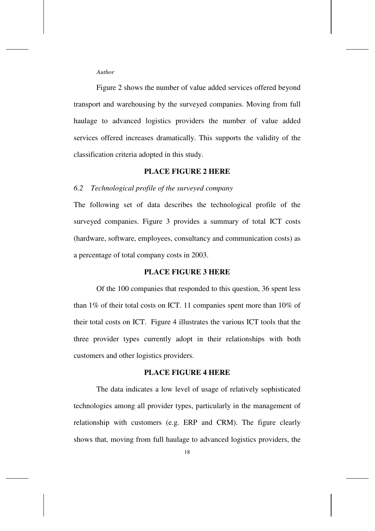Figure 2 shows the number of value added services offered beyond transport and warehousing by the surveyed companies. Moving from full haulage to advanced logistics providers the number of value added services offered increases dramatically. This supports the validity of the classification criteria adopted in this study.

# **PLACE FIGURE 2 HERE**

### *6.2 Technological profile of the surveyed company*

The following set of data describes the technological profile of the surveyed companies. Figure 3 provides a summary of total ICT costs (hardware, software, employees, consultancy and communication costs) as a percentage of total company costs in 2003.

#### **PLACE FIGURE 3 HERE**

Of the 100 companies that responded to this question, 36 spent less than 1% of their total costs on ICT. 11 companies spent more than 10% of their total costs on ICT. Figure 4 illustrates the various ICT tools that the three provider types currently adopt in their relationships with both customers and other logistics providers.

#### **PLACE FIGURE 4 HERE**

The data indicates a low level of usage of relatively sophisticated technologies among all provider types, particularly in the management of relationship with customers (e.g. ERP and CRM). The figure clearly shows that, moving from full haulage to advanced logistics providers, the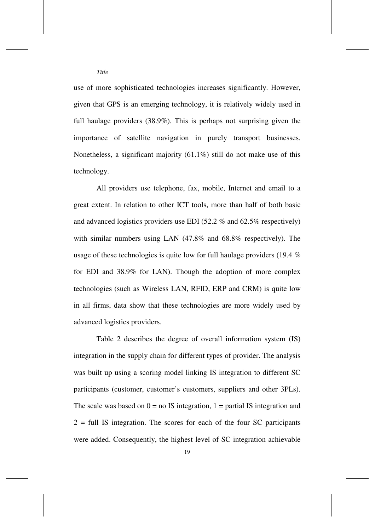use of more sophisticated technologies increases significantly. However, given that GPS is an emerging technology, it is relatively widely used in full haulage providers (38.9%). This is perhaps not surprising given the importance of satellite navigation in purely transport businesses. Nonetheless, a significant majority (61.1%) still do not make use of this technology.

All providers use telephone, fax, mobile, Internet and email to a great extent. In relation to other ICT tools, more than half of both basic and advanced logistics providers use EDI (52.2 % and 62.5% respectively) with similar numbers using LAN (47.8% and 68.8% respectively). The usage of these technologies is quite low for full haulage providers (19.4 % for EDI and 38.9% for LAN). Though the adoption of more complex technologies (such as Wireless LAN, RFID, ERP and CRM) is quite low in all firms, data show that these technologies are more widely used by advanced logistics providers.

Table 2 describes the degree of overall information system (IS) integration in the supply chain for different types of provider. The analysis was built up using a scoring model linking IS integration to different SC participants (customer, customer's customers, suppliers and other 3PLs). The scale was based on  $0 =$  no IS integration,  $1 =$  partial IS integration and  $2 =$  full IS integration. The scores for each of the four SC participants were added. Consequently, the highest level of SC integration achievable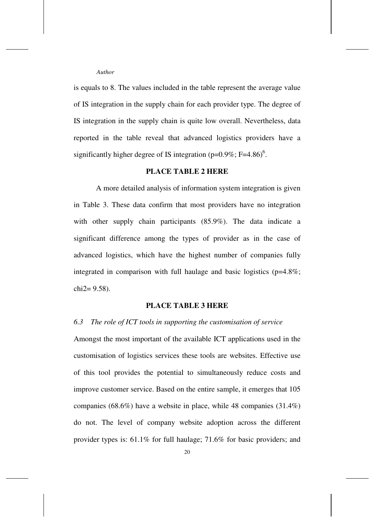is equals to 8. The values included in the table represent the average value of IS integration in the supply chain for each provider type. The degree of IS integration in the supply chain is quite low overall. Nevertheless, data reported in the table reveal that advanced logistics providers have a significantly higher degree of IS integration ( $p=0.9\%$ ; F=4.86)<sup>6</sup>.

# **PLACE TABLE 2 HERE**

A more detailed analysis of information system integration is given in Table 3. These data confirm that most providers have no integration with other supply chain participants (85.9%). The data indicate a significant difference among the types of provider as in the case of advanced logistics, which have the highest number of companies fully integrated in comparison with full haulage and basic logistics ( $p=4.8\%$ ;  $chi2 = 9.58$ ).

#### **PLACE TABLE 3 HERE**

#### *6.3 The role of ICT tools in supporting the customisation of service*

Amongst the most important of the available ICT applications used in the customisation of logistics services these tools are websites. Effective use of this tool provides the potential to simultaneously reduce costs and improve customer service. Based on the entire sample, it emerges that 105 companies (68.6%) have a website in place, while 48 companies (31.4%) do not. The level of company website adoption across the different provider types is: 61.1% for full haulage; 71.6% for basic providers; and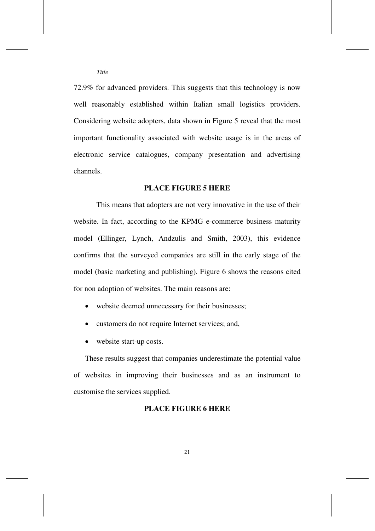72.9% for advanced providers. This suggests that this technology is now well reasonably established within Italian small logistics providers. Considering website adopters, data shown in Figure 5 reveal that the most important functionality associated with website usage is in the areas of electronic service catalogues, company presentation and advertising channels.

#### **PLACE FIGURE 5 HERE**

This means that adopters are not very innovative in the use of their website. In fact, according to the KPMG e-commerce business maturity model (Ellinger, Lynch, Andzulis and Smith, 2003), this evidence confirms that the surveyed companies are still in the early stage of the model (basic marketing and publishing). Figure 6 shows the reasons cited for non adoption of websites. The main reasons are:

- website deemed unnecessary for their businesses;
- customers do not require Internet services; and,
- website start-up costs.

These results suggest that companies underestimate the potential value of websites in improving their businesses and as an instrument to customise the services supplied.

#### **PLACE FIGURE 6 HERE**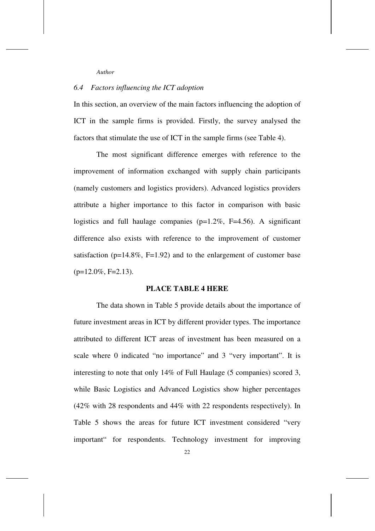# *6.4 Factors influencing the ICT adoption*

In this section, an overview of the main factors influencing the adoption of ICT in the sample firms is provided. Firstly, the survey analysed the factors that stimulate the use of ICT in the sample firms (see Table 4).

The most significant difference emerges with reference to the improvement of information exchanged with supply chain participants (namely customers and logistics providers). Advanced logistics providers attribute a higher importance to this factor in comparison with basic logistics and full haulage companies ( $p=1.2\%$ ,  $F=4.56$ ). A significant difference also exists with reference to the improvement of customer satisfaction ( $p=14.8\%$ ,  $F=1.92$ ) and to the enlargement of customer base  $(p=12.0\%, F=2.13)$ .

#### **PLACE TABLE 4 HERE**

The data shown in Table 5 provide details about the importance of future investment areas in ICT by different provider types. The importance attributed to different ICT areas of investment has been measured on a scale where 0 indicated "no importance" and 3 "very important". It is interesting to note that only 14% of Full Haulage (5 companies) scored 3, while Basic Logistics and Advanced Logistics show higher percentages (42% with 28 respondents and 44% with 22 respondents respectively). In Table 5 shows the areas for future ICT investment considered "very important" for respondents. Technology investment for improving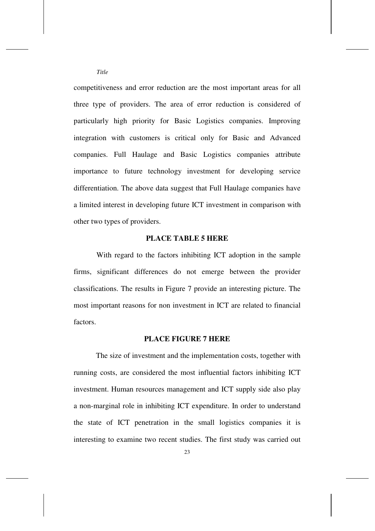competitiveness and error reduction are the most important areas for all three type of providers. The area of error reduction is considered of particularly high priority for Basic Logistics companies. Improving integration with customers is critical only for Basic and Advanced companies. Full Haulage and Basic Logistics companies attribute importance to future technology investment for developing service differentiation. The above data suggest that Full Haulage companies have a limited interest in developing future ICT investment in comparison with other two types of providers.

#### **PLACE TABLE 5 HERE**

With regard to the factors inhibiting ICT adoption in the sample firms, significant differences do not emerge between the provider classifications. The results in Figure 7 provide an interesting picture. The most important reasons for non investment in ICT are related to financial factors.

#### **PLACE FIGURE 7 HERE**

The size of investment and the implementation costs, together with running costs, are considered the most influential factors inhibiting ICT investment. Human resources management and ICT supply side also play a non-marginal role in inhibiting ICT expenditure. In order to understand the state of ICT penetration in the small logistics companies it is interesting to examine two recent studies. The first study was carried out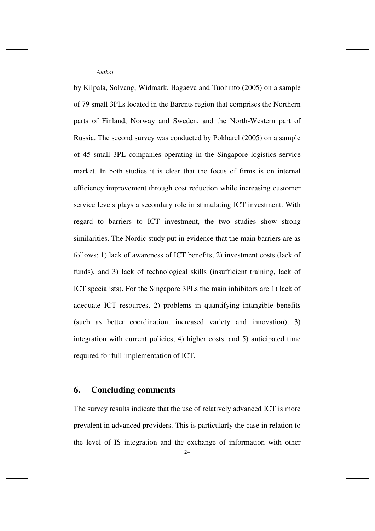by Kilpala, Solvang, Widmark, Bagaeva and Tuohinto (2005) on a sample of 79 small 3PLs located in the Barents region that comprises the Northern parts of Finland, Norway and Sweden, and the North-Western part of Russia. The second survey was conducted by Pokharel (2005) on a sample of 45 small 3PL companies operating in the Singapore logistics service market. In both studies it is clear that the focus of firms is on internal efficiency improvement through cost reduction while increasing customer service levels plays a secondary role in stimulating ICT investment. With regard to barriers to ICT investment, the two studies show strong similarities. The Nordic study put in evidence that the main barriers are as follows: 1) lack of awareness of ICT benefits, 2) investment costs (lack of funds), and 3) lack of technological skills (insufficient training, lack of ICT specialists). For the Singapore 3PLs the main inhibitors are 1) lack of adequate ICT resources, 2) problems in quantifying intangible benefits (such as better coordination, increased variety and innovation), 3) integration with current policies, 4) higher costs, and 5) anticipated time required for full implementation of ICT.

# **6. Concluding comments**

The survey results indicate that the use of relatively advanced ICT is more prevalent in advanced providers. This is particularly the case in relation to the level of IS integration and the exchange of information with other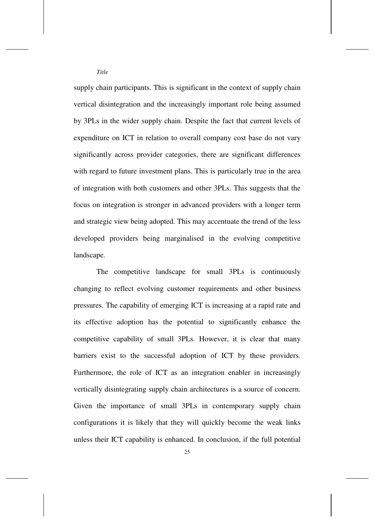supply chain participants. This is significant in the context of supply chain vertical disintegration and the increasingly important role being assumed by 3PLs in the wider supply chain. Despite the fact that current levels of expenditure on ICT in relation to overall company cost base do not vary significantly across provider categories, there are significant differences with regard to future investment plans. This is particularly true in the area of integration with both customers and other 3PLs. This suggests that the focus on integration is stronger in advanced providers with a longer term and strategic view being adopted. This may accentuate the trend of the less developed providers being marginalised in the evolving competitive landscape.

The competitive landscape for small 3PLs is continuously changing to reflect evolving customer requirements and other business pressures. The capability of emerging ICT is increasing at a rapid rate and its effective adoption has the potential to significantly enhance the competitive capability of small 3PLs. However, it is clear that many barriers exist to the successful adoption of ICT by these providers. Furthermore, the role of ICT as an integration enabler in increasingly vertically disintegrating supply chain architectures is a source of concern. Given the importance of small 3PLs in contemporary supply chain configurations it is likely that they will quickly become the weak links unless their ICT capability is enhanced. In conclusion, if the full potential

25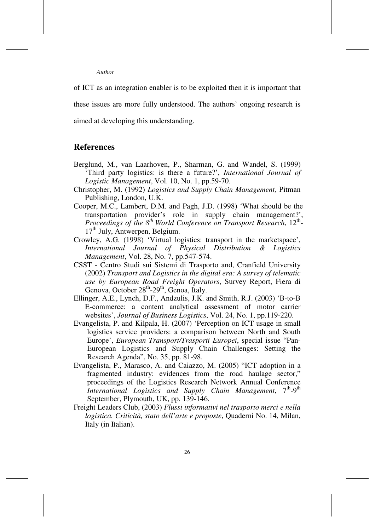of ICT as an integration enabler is to be exploited then it is important that these issues are more fully understood. The authors' ongoing research is aimed at developing this understanding.

#### **References**

- Berglund, M., van Laarhoven, P., Sharman, G. and Wandel, S. (1999) 'Third party logistics: is there a future?', *International Journal of Logistic Management*, Vol. 10, No. 1, pp.59-70.
- Christopher, M. (1992) *Logistics and Supply Chain Management,* Pitman Publishing, London, U.K.
- Cooper, M.C., Lambert, D.M. and Pagh, J.D. (1998) 'What should be the transportation provider's role in supply chain management?', Proceedings of the 8<sup>th</sup> World Conference on Transport Research, 12<sup>th</sup>-17<sup>th</sup> July, Antwerpen, Belgium.
- Crowley, A.G. (1998) 'Virtual logistics: transport in the marketspace', *International Journal of Physical Distribution & Logistics Management*, Vol. 28, No. 7, pp.547-574.
- CSST Centro Studi sui Sistemi di Trasporto and, Cranfield University (2002) *Transport and Logistics in the digital era: A survey of telematic use by European Road Freight Operators*, Survey Report, Fiera di Genova, October 28<sup>th</sup>-29<sup>th</sup>, Genoa, Italy.
- Ellinger, A.E., Lynch, D.F., Andzulis, J.K. and Smith, R.J. (2003) 'B-to-B E-commerce: a content analytical assessment of motor carrier websites', *Journal of Business Logistics*, Vol. 24, No. 1, pp.119-220.
- Evangelista, P. and Kilpala, H. (2007) 'Perception on ICT usage in small logistics service providers: a comparison between North and South Europe', *European Transport/Trasporti Europei*, special issue "Pan-European Logistics and Supply Chain Challenges: Setting the Research Agenda", No. 35, pp. 81-98.
- Evangelista, P., Marasco, A. and Caiazzo, M. (2005) "ICT adoption in a fragmented industry: evidences from the road haulage sector," proceedings of the Logistics Research Network Annual Conference *International Logistics and Supply Chain Management*, 7<sup>th</sup>-9<sup>th</sup> September, Plymouth, UK, pp. 139-146.
- Freight Leaders Club, (2003) *Flussi informativi nel trasporto merci e nella logistica. Criticità, stato dell'arte e proposte*, Quaderni No. 14, Milan, Italy (in Italian).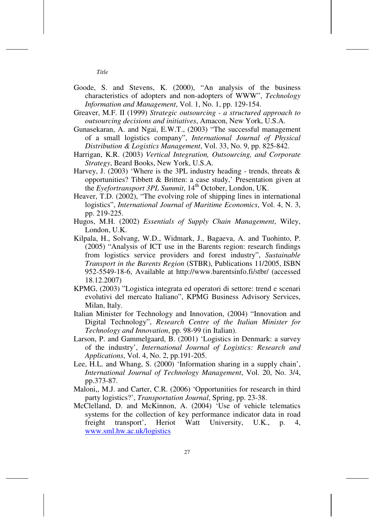- Goode, S. and Stevens, K. (2000), "An analysis of the business characteristics of adopters and non-adopters of WWW", *Technology Information and Management*, Vol. 1, No. 1, pp. 129-154.
- Greaver, M.F. II (1999) *Strategic outsourcing a structured approach to outsourcing decisions and initiatives*, Amacon, New York, U.S.A.
- Gunasekaran, A. and Ngai, E.W.T., (2003) "The successful management of a small logistics company", *International Journal of Physical Distribution & Logistics Management*, Vol. 33, No. 9, pp. 825-842.
- Harrigan, K.R. (2003) *Vertical Integration, Outsourcing, and Corporate Strategy*, Beard Books, New York, U.S.A.
- Harvey, J. (2003) 'Where is the 3PL industry heading trends, threats  $\&$ opportunities? Tibbett & Britten: a case study,' Presentation given at the *Eyefortransport 3PL Summit*, 14th October, London, UK.
- Heaver, T.D. (2002), "The evolving role of shipping lines in international logistics", *International Journal of Maritime Economics*, Vol. 4, N. 3, pp. 219-225.
- Hugos, M.H. (2002) *Essentials of Supply Chain Management*, Wiley, London, U.K.
- Kilpala, H., Solvang, W.D., Widmark, J., Bagaeva, A. and Tuohinto, P. (2005) "Analysis of ICT use in the Barents region: research findings from logistics service providers and forest industry", *Sustainable Transport in the Barents Region* (STBR), Publications 11/2005, ISBN 952-5549-18-6, Available at http://www.barentsinfo.fi/stbr/ (accessed 18.12.2007)
- KPMG, (2003) "Logistica integrata ed operatori di settore: trend e scenari evolutivi del mercato Italiano", KPMG Business Advisory Services, Milan, Italy.
- Italian Minister for Technology and Innovation, (2004) "Innovation and Digital Technology", *Research Centre of the Italian Minister for Technology and Innovation*, pp. 98-99 (in Italian).
- Larson, P. and Gammelgaard, B. (2001) 'Logistics in Denmark: a survey of the industry', *International Journal of Logistics: Research and Applications*, Vol. 4, No. 2, pp.191-205.
- Lee, H.L. and Whang, S. (2000) 'Information sharing in a supply chain', *International Journal of Technology Management*, Vol. 20, No. 3/4, pp.373-87.
- Maloni,, M.J. and Carter, C.R. (2006) 'Opportunities for research in third party logistics?', *Transportation Journal*, Spring, pp. 23-38.
- McClelland, D. and McKinnon, A. (2004) 'Use of vehicle telematics systems for the collection of key performance indicator data in road freight transport', Heriot Watt University, U.K., p. 4, www.sml.hw.ac.uk/logistics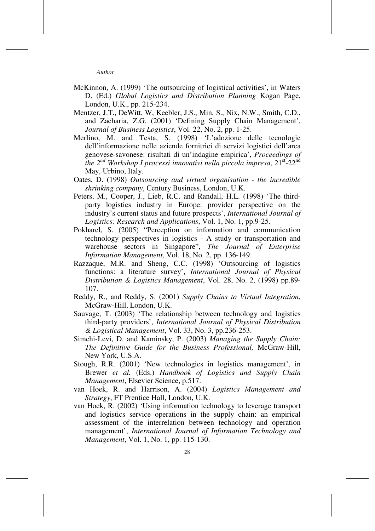- McKinnon, A. (1999) 'The outsourcing of logistical activities', in Waters D. (Ed.) *Global Logistics and Distribution Planning* Kogan Page, London, U.K., pp. 215-234.
- Mentzer, J.T., DeWitt, W, Keebler, J.S., Min, S., Nix, N.W., Smith, C.D., and Zacharia, Z.G. (2001) 'Defining Supply Chain Management', *Journal of Business Logistics*, Vol. 22, No. 2, pp. 1-25.
- Merlino, M. and Testa, S. (1998) 'L'adozione delle tecnologie dell'informazione nelle aziende fornitrici di servizi logistici dell'area genovese-savonese: risultati di un'indagine empirica', *Proceedings of the 2nd Workshop I processi innovativi nella piccola impresa*, 21st-22nd May, Urbino, Italy.
- Oates, D. (1998) *Outsourcing and virtual organisation the incredible shrinking company*, Century Business, London, U.K.
- Peters, M., Cooper, J., Lieb, R.C. and Randall, H.L. (1998) 'The thirdparty logistics industry in Europe: provider perspective on the industry's current status and future prospects', *International Journal of Logistics: Research and Applications*, Vol. 1, No. 1, pp.9-25.
- Pokharel, S. (2005) "Perception on information and communication technology perspectives in logistics - A study or transportation and warehouse sectors in Singapore", *The Journal of Enterprise Information Management*, Vol. 18, No. 2, pp. 136-149.
- Razzaque, M.R. and Sheng, C.C. (1998) 'Outsourcing of logistics functions: a literature survey', *International Journal of Physical Distribution & Logistics Management*, Vol. 28, No. 2, (1998) pp.89- 107.
- Reddy, R., and Reddy, S. (2001) *Supply Chains to Virtual Integration*, McGraw-Hill, London, U.K.
- Sauvage, T. (2003) 'The relationship between technology and logistics third-party providers', *International Journal of Physical Distribution & Logistical Management*, Vol. 33, No. 3, pp.236-253.
- Simchi-Levi, D. and Kaminsky, P. (2003) *Managing the Supply Chain: The Definitive Guide for the Business Professional,* McGraw-Hill, New York, U.S.A.
- Stough, R.R. (2001) 'New technologies in logistics management', in Brewer *et al.* (Eds.) *Handbook of Logistics and Supply Chain Management*, Elsevier Science, p.517.
- van Hoek, R. and Harrison, A. (2004) *Logistics Management and Strategy*, FT Prentice Hall, London, U.K.
- van Hoek, R. (2002) 'Using information technology to leverage transport and logistics service operations in the supply chain: an empirical assessment of the interrelation between technology and operation management', *International Journal of Information Technology and Management*, Vol. 1, No. 1, pp. 115-130.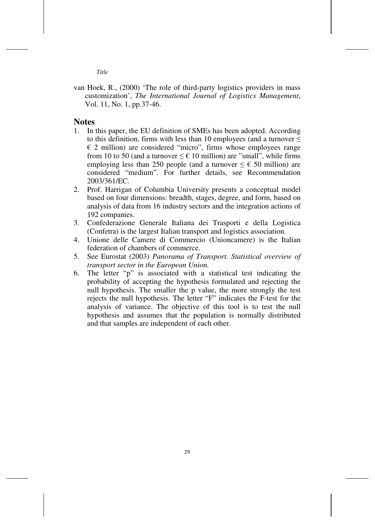*Title* 

van Hoek, R., (2000) 'The role of third-party logistics providers in mass customization', *The International Journal of Logistics Management*, Vol. 11, No. 1, pp.37-46.

#### **Notes**

- 1. In this paper, the EU definition of SMEs has been adopted. According to this definition, firms with less than 10 employees (and a turnover  $\leq$  $\epsilon$  2 million) are considered "micro", firms whose employees range from 10 to 50 (and a turnover  $\leq \epsilon$  10 million) are "small", while firms employing less than 250 people (and a turnover  $\leq \epsilon$  50 million) are considered "medium". For further details, see Recommendation 2003/361/EC.
- 2. Prof. Harrigan of Columbia University presents a conceptual model based on four dimensions: breadth, stages, degree, and form, based on analysis of data from 16 industry sectors and the integration actions of 192 companies.
- 3. Confederazione Generale Italiana dei Trasporti e della Logistica (Confetra) is the largest Italian transport and logistics association.
- 4. Unione delle Camere di Commercio (Unioncamere) is the Italian federation of chambers of commerce.
- 5. See Eurostat (2003) *Panorama of Transport. Statistical overview of transport sector in the European Union.*
- 6. The letter "p" is associated with a statistical test indicating the probability of accepting the hypothesis formulated and rejecting the null hypothesis. The smaller the p value, the more strongly the test rejects the null hypothesis. The letter "F" indicates the F-test for the analysis of variance. The objective of this tool is to test the null hypothesis and assumes that the population is normally distributed and that samples are independent of each other.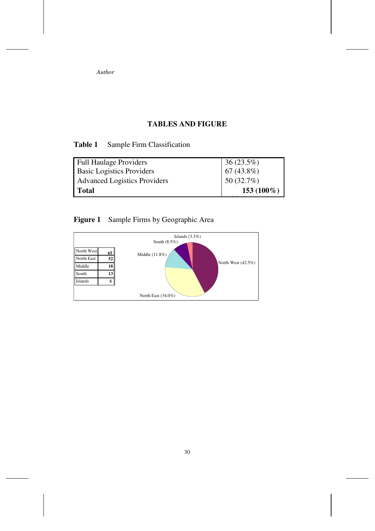# **TABLES AND FIGURE**

# **Table 1** Sample Firm Classification

| <b>Full Haulage Providers</b>       |                          |
|-------------------------------------|--------------------------|
| <b>Basic Logistics Providers</b>    | 36 (23.5%)<br>67 (43.8%) |
| <b>Advanced Logistics Providers</b> | 50 (32.7%)               |
| <b>Total</b>                        | 153 (100 $%$ )           |
|                                     |                          |

# **Figure 1** Sample Firms by Geographic Area

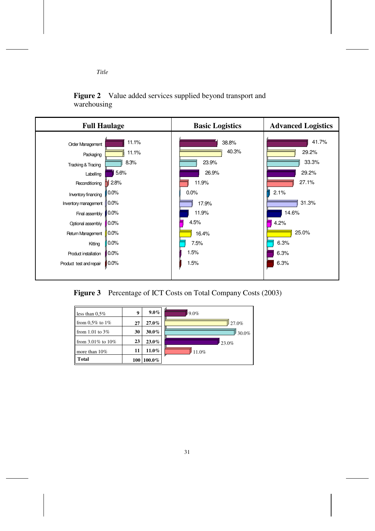

**Figure 2** Value added services supplied beyond transport and warehousing



Figure 3 Percentage of ICT Costs on Total Company Costs (2003)

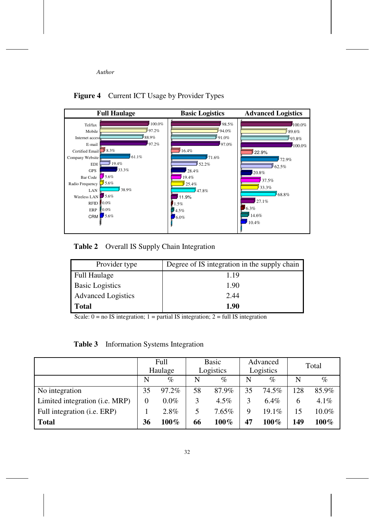

**Figure 4** Current ICT Usage by Provider Types

**Table 2** Overall IS Supply Chain Integration

| Provider type             | Degree of IS integration in the supply chain |
|---------------------------|----------------------------------------------|
| <b>Full Haulage</b>       | 1.19                                         |
| <b>Basic Logistics</b>    | 1.90                                         |
| <b>Advanced Logistics</b> | 2.44                                         |
| <b>Total</b>              | 1.90                                         |

Scale:  $0 = no$  IS integration;  $1 =$  partial IS integration;  $2 =$  full IS integration

| Table 3 | Information Systems Integration |  |  |
|---------|---------------------------------|--|--|
|---------|---------------------------------|--|--|

|                                         | Full<br>Haulage |         | Basic<br>Logistics |         | Advanced<br>Logistics |          | Total |         |
|-----------------------------------------|-----------------|---------|--------------------|---------|-----------------------|----------|-------|---------|
|                                         | N               | $\%$    | N                  | $\%$    | N                     | $\%$     | N     | $\%$    |
| No integration                          | 35              | 97.2%   | 58                 | 87.9%   | 35                    | 74.5%    | 128   | 85.9%   |
| Limited integration ( <i>i.e. MRP</i> ) | $_{0}$          | $0.0\%$ | 3                  | $4.5\%$ | 3                     | $6.4\%$  | 6     | $4.1\%$ |
| Full integration (i.e. ERP)             |                 | 2.8%    | 5                  | 7.65%   | 9                     | $19.1\%$ | 15    | 10.0%   |
| Total                                   | 36              | $100\%$ | 66                 | $100\%$ | 47                    | $100\%$  | 149   | $100\%$ |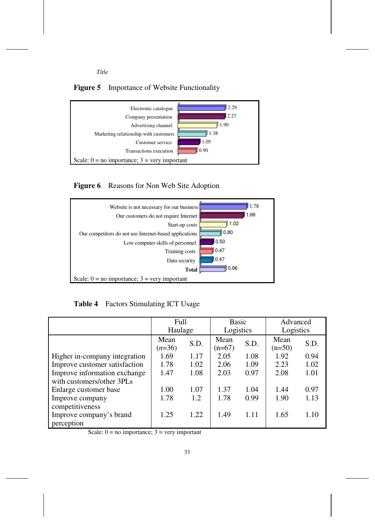

## **Figure 5** Importance of Website Functionality



**Figure 6** Reasons for Non Web Site Adoption



**Table 4** Factors Stimulating ICT Usage

|                               | Full             |      | Basic            |      | Advanced         |      |
|-------------------------------|------------------|------|------------------|------|------------------|------|
|                               | Haulage          |      | Logistics        |      | Logistics        |      |
|                               | Mean<br>$(n=36)$ | S.D. | Mean<br>$(n=67)$ | S.D. | Mean<br>$(n=50)$ | S.D. |
| Higher in-company integration | 1.69             | 1.17 | 2.05             | 1.08 | 1.92             | 0.94 |
| Improve customer satisfaction | 1.78             | 1.02 | 2.06             | 1.09 | 2.23             | 1.02 |
| Improve information exchange  | 1.08<br>1.47     |      | 2.03             | 0.97 | 2.08             | 1.01 |
| with customers/other 3PLs     |                  |      |                  |      |                  |      |
| Enlarge customer base         | 1.00             | 1.07 | 1.37             | 1.04 | 1.44             | 0.97 |
| Improve company               | 1.78             | 1.2  | 1.78             | 0.99 | 1.90             | 1.13 |
| competitiveness               |                  |      |                  |      |                  |      |
| Improve company's brand       | 1.25             | 1.22 | 1.49             | 1.11 | 1.65             | 1.10 |
| perception                    |                  |      |                  |      |                  |      |

Scale:  $0 = no$  importance;  $3 = very$  important